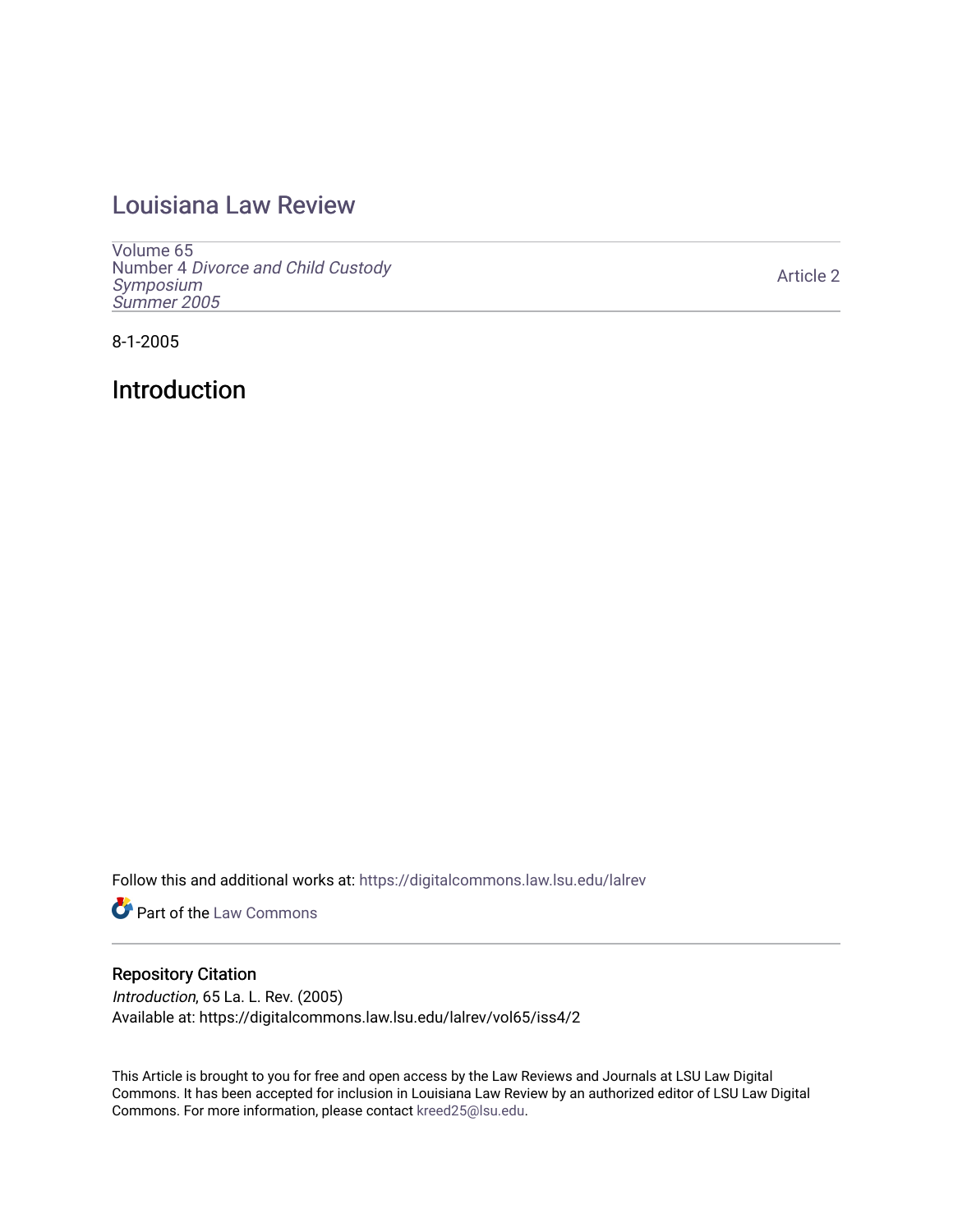## [Louisiana Law Review](https://digitalcommons.law.lsu.edu/lalrev)

[Volume 65](https://digitalcommons.law.lsu.edu/lalrev/vol65) Number 4 [Divorce and Child Custody](https://digitalcommons.law.lsu.edu/lalrev/vol65/iss4)  [Symposium](https://digitalcommons.law.lsu.edu/lalrev/vol65/iss4)  [Summer 2005](https://digitalcommons.law.lsu.edu/lalrev/vol65/iss4) 

[Article 2](https://digitalcommons.law.lsu.edu/lalrev/vol65/iss4/2) 

8-1-2005

Introduction

Follow this and additional works at: [https://digitalcommons.law.lsu.edu/lalrev](https://digitalcommons.law.lsu.edu/lalrev?utm_source=digitalcommons.law.lsu.edu%2Flalrev%2Fvol65%2Fiss4%2F2&utm_medium=PDF&utm_campaign=PDFCoverPages)

**Part of the [Law Commons](https://network.bepress.com/hgg/discipline/578?utm_source=digitalcommons.law.lsu.edu%2Flalrev%2Fvol65%2Fiss4%2F2&utm_medium=PDF&utm_campaign=PDFCoverPages)** 

## Repository Citation

Introduction, 65 La. L. Rev. (2005) Available at: https://digitalcommons.law.lsu.edu/lalrev/vol65/iss4/2

This Article is brought to you for free and open access by the Law Reviews and Journals at LSU Law Digital Commons. It has been accepted for inclusion in Louisiana Law Review by an authorized editor of LSU Law Digital Commons. For more information, please contact [kreed25@lsu.edu](mailto:kreed25@lsu.edu).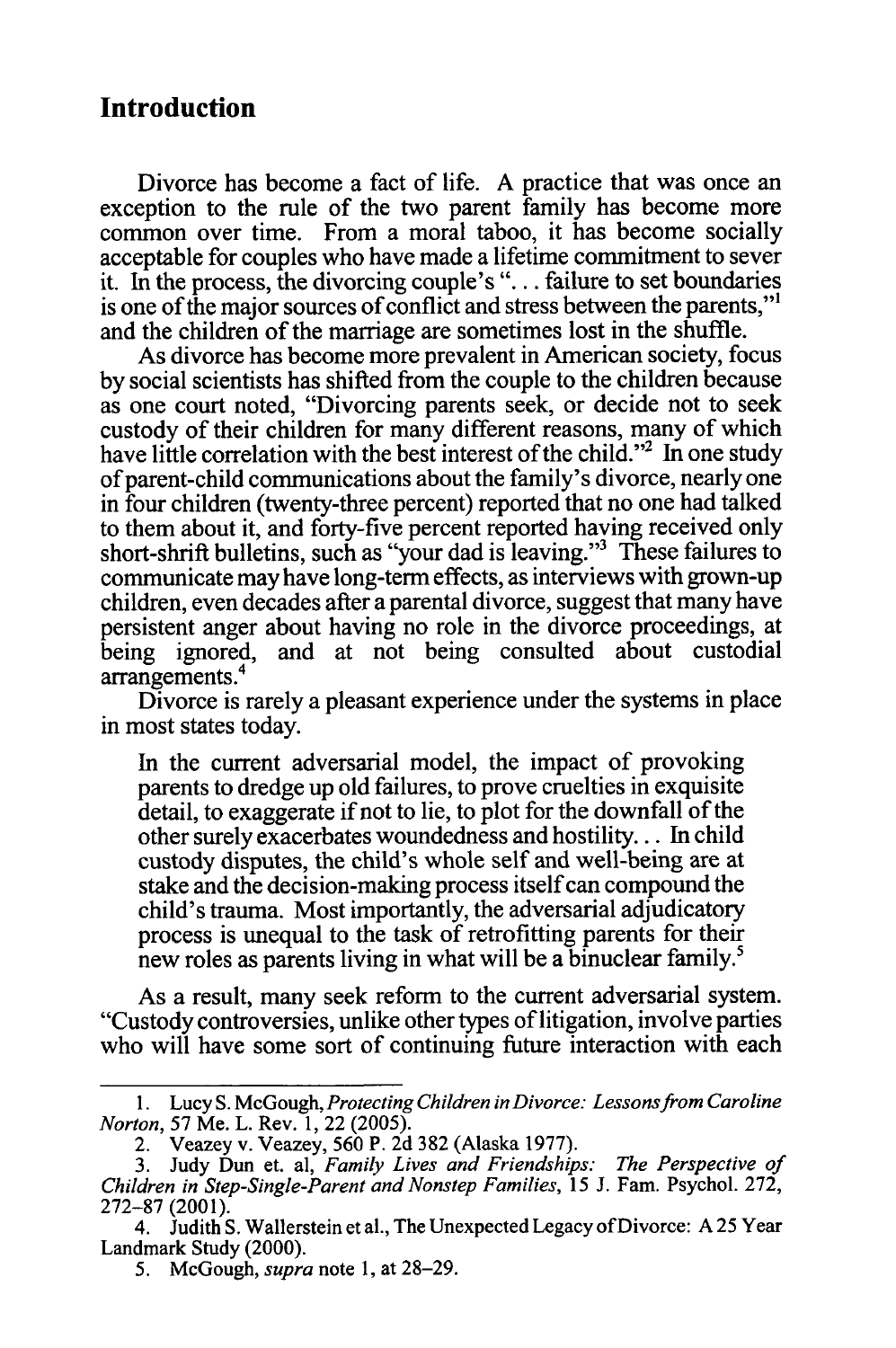## **Introduction**

Divorce has become a fact of life. A practice that was once an exception to the rule of the two parent family has become more common over time. From a moral taboo, it has become socially acceptable for couples who have made a lifetime commitment to sever it. In the process, the divorcing couple's ". **.** .failure to set boundaries is one of the major sources of conflict and stress between the parents,"<sup>1</sup> and the children of the marriage are sometimes lost in the shuffle.

As divorce has become more prevalent in American society, focus by social scientists has shifted from the couple to the children because as one court noted, "Divorcing parents seek, or decide not to seek custody of their children for many different reasons, many of which have little correlation with the best interest of the child."<sup>2</sup> In one study of parent-child communications about the family's divorce, nearly one in four children (twenty-three percent) reported that no one had talked to them about it, and forty-five percent reported having received only short-shrift bulletins, such as "your dad is leaving."3 These failures to communicate may have long-term effects, as interviews with grown-up children, even decades after a parental divorce, suggest that many have persistent anger about having no role in the divorce proceedings, at being ignored, and at not being consulted about custodial arrangements.<sup>4</sup>

Divorce is rarely a pleasant experience under the systems in place in most states today.

In the current adversarial model, the impact of provoking parents to dredge up old failures, to prove cruelties in exquisite detail, to exaggerate if not to lie, to plot for the downfall of the other surely exacerbates woundedness and hostility... In child custody disputes, the child's whole self and well-being are at stake and the decision-making process itself can compound the child's trauma. Most importantly, the adversarial adjudicatory process is unequal to the task of retrofitting parents for their new roles as parents living in what will be a binuclear family.<sup>5</sup>

As a result, many seek reform to the current adversarial system. "Custody controversies, unlike other types of litigation, involve parties who will have some sort of continuing future interaction with each

<sup>1.</sup> Lucy S. McGough, *ProtectingChildreninDivorce: Lessonsfrom Caroline Norton,* 57 Me. L. Rev. 1, 22 (2005).

<sup>2.</sup> Veazey v. Veazey, 560 P. 2d 382 (Alaska 1977).

<sup>3.</sup> Judy Dun et. al, *Family Lives and Friendships: The Perspective of Children in Step-Single-ParentandNonstep Families,* 15 J. Fam. Psychol. 272, 272-87 (2001).

<sup>4.</sup> Judith S. Wallerstein et al., The Unexpected Legacy of Divorce: A 25 Year Landmark Study (2000).

<sup>5.</sup> McGough, *supra*note **1,** at 28-29.